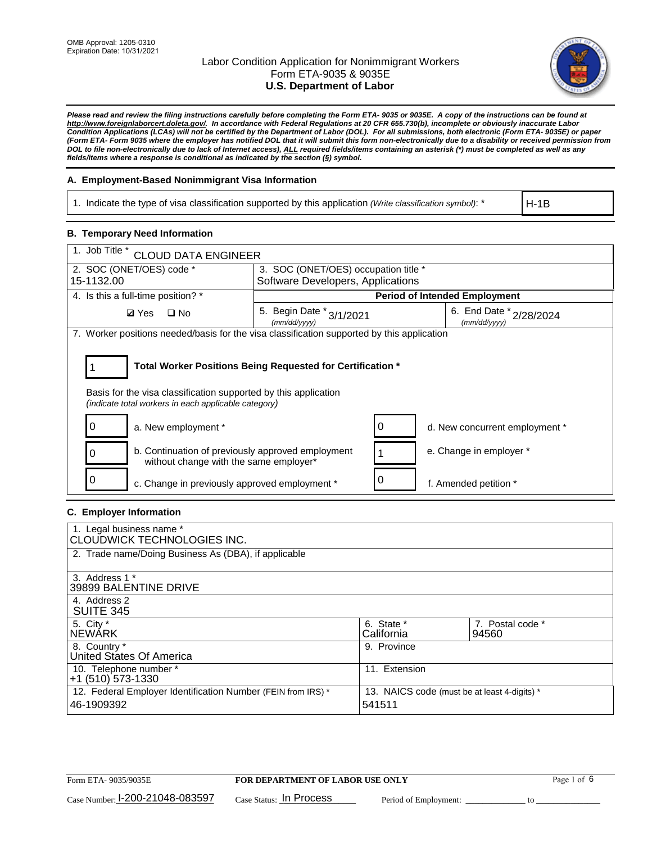

*Please read and review the filing instructions carefully before completing the Form ETA- 9035 or 9035E. A copy of the instructions can be found at [http://www.foreignlaborcert.doleta.gov/.](http://www.foreignlaborcert.doleta.gov/) In accordance with Federal Regulations at 20 CFR 655.730(b), incomplete or obviously inaccurate Labor Condition Applications (LCAs) will not be certified by the Department of Labor (DOL). For all submissions, both electronic (Form ETA- 9035E) or paper (Form ETA- Form 9035 where the employer has notified DOL that it will submit this form non-electronically due to a disability or received permission from DOL to file non-electronically due to lack of Internet access), ALL required fields/items containing an asterisk (\*) must be completed as well as any fields/items where a response is conditional as indicated by the section (§) symbol.* 

### **A. Employment-Based Nonimmigrant Visa Information**

1. Indicate the type of visa classification supported by this application *(Write classification symbol)*: \*

H-1B

### **B. Temporary Need Information**

| 1. Job Title *<br><b>CLOUD DATA ENGINEER</b>                                                                                                                                          |                                          |                                             |  |  |  |
|---------------------------------------------------------------------------------------------------------------------------------------------------------------------------------------|------------------------------------------|---------------------------------------------|--|--|--|
| 2. SOC (ONET/OES) code *<br>3. SOC (ONET/OES) occupation title *                                                                                                                      |                                          |                                             |  |  |  |
| 15-1132.00                                                                                                                                                                            | Software Developers, Applications        |                                             |  |  |  |
| 4. Is this a full-time position? *                                                                                                                                                    |                                          | <b>Period of Intended Employment</b>        |  |  |  |
| <b>Ø</b> Yes<br>$\Box$ No                                                                                                                                                             | 5. Begin Date * 3/1/2021<br>(mm/dd/yyyy) | 6. End Date $x_{2/28/2024}$<br>(mm/dd/yyyy) |  |  |  |
| 7. Worker positions needed/basis for the visa classification supported by this application                                                                                            |                                          |                                             |  |  |  |
| Total Worker Positions Being Requested for Certification *<br>Basis for the visa classification supported by this application<br>(indicate total workers in each applicable category) |                                          |                                             |  |  |  |
| a. New employment *                                                                                                                                                                   |                                          | d. New concurrent employment *              |  |  |  |
| b. Continuation of previously approved employment<br>without change with the same employer*                                                                                           |                                          | e. Change in employer *                     |  |  |  |
| c. Change in previously approved employment *                                                                                                                                         |                                          | f. Amended petition *                       |  |  |  |

### **C. Employer Information**

| 1. Legal business name *                                     |                                              |                  |
|--------------------------------------------------------------|----------------------------------------------|------------------|
| CLOUDWICK TECHNOLOGIES INC.                                  |                                              |                  |
| 2. Trade name/Doing Business As (DBA), if applicable         |                                              |                  |
|                                                              |                                              |                  |
| 3. Address 1 *                                               |                                              |                  |
| 39899 BALENTINE DRIVE                                        |                                              |                  |
| 4. Address 2                                                 |                                              |                  |
| <b>SUITE 345</b>                                             |                                              |                  |
| 5. City *                                                    | 6. State *                                   | 7. Postal code * |
| <b>NEWARK</b>                                                | California                                   | 94560            |
| 8. Country *                                                 | 9. Province                                  |                  |
| United States Of America                                     |                                              |                  |
| 10. Telephone number *                                       | 11. Extension                                |                  |
| $+1$ (510) 573-1330                                          |                                              |                  |
| 12. Federal Employer Identification Number (FEIN from IRS) * | 13. NAICS code (must be at least 4-digits) * |                  |
| 46-1909392                                                   | 541511                                       |                  |
|                                                              |                                              |                  |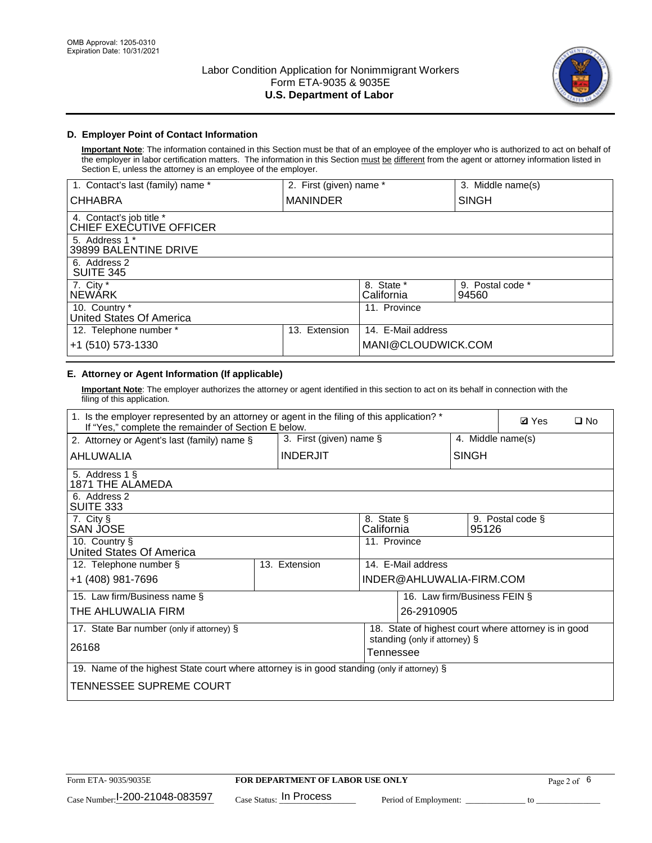

## **D. Employer Point of Contact Information**

**Important Note**: The information contained in this Section must be that of an employee of the employer who is authorized to act on behalf of the employer in labor certification matters. The information in this Section must be different from the agent or attorney information listed in Section E, unless the attorney is an employee of the employer.

| 1. Contact's last (family) name *                   | 2. First (given) name * |                          | 3. Middle name(s)         |
|-----------------------------------------------------|-------------------------|--------------------------|---------------------------|
| <b>CHHABRA</b>                                      | <b>MANINDER</b>         |                          | <b>SINGH</b>              |
| 4. Contact's job title *<br>CHIEF EXECUTIVE OFFICER |                         |                          |                           |
| 5. Address 1 *<br>39899 BALENTINE DRIVE             |                         |                          |                           |
| 6. Address 2<br><b>SUITE 345</b>                    |                         |                          |                           |
| 7. City *<br><b>NEWÁRK</b>                          |                         | 8. State *<br>California | 9. Postal code *<br>94560 |
| 10. Country *<br>United States Of America           |                         | 11. Province             |                           |
| 12. Telephone number *                              | Extension<br>13.        | 14. E-Mail address       |                           |
| +1 (510) 573-1330                                   |                         | MANI@CLOUDWICK.COM       |                           |

# **E. Attorney or Agent Information (If applicable)**

**Important Note**: The employer authorizes the attorney or agent identified in this section to act on its behalf in connection with the filing of this application.

| 1. Is the employer represented by an attorney or agent in the filing of this application? *<br>If "Yes," complete the remainder of Section E below. |  |                 |                          |                               |                   | <b>Ø</b> Yes<br>$\Box$ No                            |
|-----------------------------------------------------------------------------------------------------------------------------------------------------|--|-----------------|--------------------------|-------------------------------|-------------------|------------------------------------------------------|
| 3. First (given) name $\S$<br>2. Attorney or Agent's last (family) name §                                                                           |  |                 |                          |                               | 4. Middle name(s) |                                                      |
| AHLUWALIA                                                                                                                                           |  | <b>INDERJIT</b> |                          |                               | <b>SINGH</b>      |                                                      |
| 5. Address 1 §<br>1871 THE ALAMEDA                                                                                                                  |  |                 |                          |                               |                   |                                                      |
| 6. Address 2<br>SUITE 333                                                                                                                           |  |                 |                          |                               |                   |                                                      |
| 7. City §<br>SAN JOSE                                                                                                                               |  |                 | 8. State §<br>California |                               | 95126             | 9. Postal code §                                     |
| 10. Country §<br>United States Of America                                                                                                           |  |                 | 11. Province             |                               |                   |                                                      |
| 12. Telephone number §                                                                                                                              |  | 13. Extension   |                          | 14. E-Mail address            |                   |                                                      |
| +1 (408) 981-7696                                                                                                                                   |  |                 |                          | INDER@AHLUWALIA-FIRM.COM      |                   |                                                      |
| 15. Law firm/Business name §                                                                                                                        |  |                 |                          | 16. Law firm/Business FEIN §  |                   |                                                      |
| THE AHLUWALIA FIRM                                                                                                                                  |  |                 |                          | 26-2910905                    |                   |                                                      |
| 17. State Bar number (only if attorney) §                                                                                                           |  |                 |                          |                               |                   | 18. State of highest court where attorney is in good |
| 26168                                                                                                                                               |  |                 | Tennessee                | standing (only if attorney) § |                   |                                                      |
| 19. Name of the highest State court where attorney is in good standing (only if attorney) §                                                         |  |                 |                          |                               |                   |                                                      |
| TENNESSEE SUPREME COURT                                                                                                                             |  |                 |                          |                               |                   |                                                      |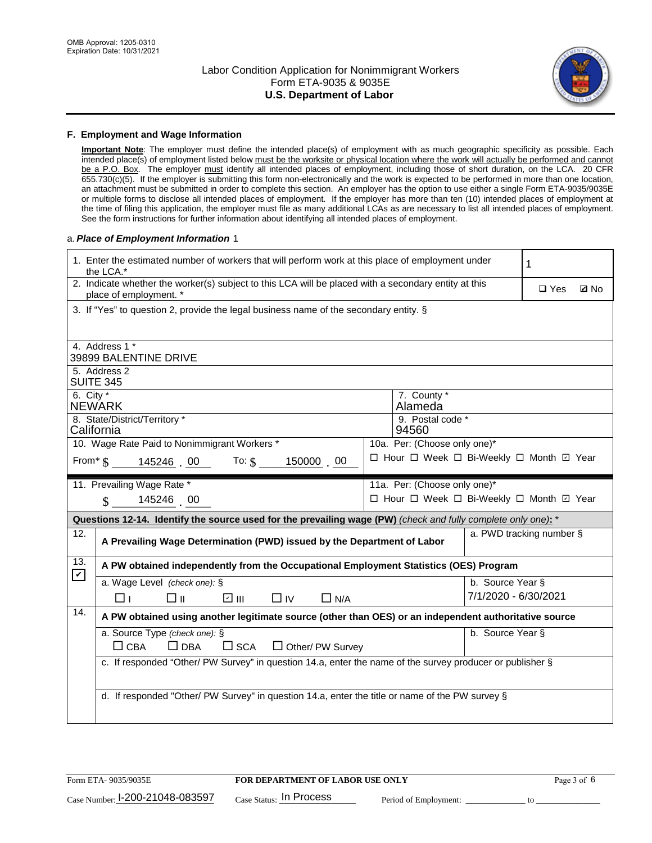

#### **F. Employment and Wage Information**

**Important Note**: The employer must define the intended place(s) of employment with as much geographic specificity as possible. Each intended place(s) of employment listed below must be the worksite or physical location where the work will actually be performed and cannot be a P.O. Box. The employer must identify all intended places of employment, including those of short duration, on the LCA. 20 CFR 655.730(c)(5). If the employer is submitting this form non-electronically and the work is expected to be performed in more than one location, an attachment must be submitted in order to complete this section. An employer has the option to use either a single Form ETA-9035/9035E or multiple forms to disclose all intended places of employment. If the employer has more than ten (10) intended places of employment at the time of filing this application, the employer must file as many additional LCAs as are necessary to list all intended places of employment. See the form instructions for further information about identifying all intended places of employment.

#### a.*Place of Employment Information* 1

| 1. Enter the estimated number of workers that will perform work at this place of employment under<br>the LCA.*                 |                                          | 1                         |  |  |  |  |
|--------------------------------------------------------------------------------------------------------------------------------|------------------------------------------|---------------------------|--|--|--|--|
| 2. Indicate whether the worker(s) subject to this LCA will be placed with a secondary entity at this<br>place of employment. * |                                          | $\Box$ Yes<br><b>Q</b> No |  |  |  |  |
| 3. If "Yes" to question 2, provide the legal business name of the secondary entity. §                                          |                                          |                           |  |  |  |  |
| 4. Address 1 *                                                                                                                 |                                          |                           |  |  |  |  |
| 39899 BALENTINE DRIVE                                                                                                          |                                          |                           |  |  |  |  |
| 5. Address 2<br><b>SUITE 345</b>                                                                                               |                                          |                           |  |  |  |  |
| 6. City $*$<br>7. County *<br><b>NEWARK</b><br>Alameda                                                                         |                                          |                           |  |  |  |  |
| 8. State/District/Territory *<br>9. Postal code *<br>California<br>94560                                                       |                                          |                           |  |  |  |  |
| 10. Wage Rate Paid to Nonimmigrant Workers *                                                                                   |                                          |                           |  |  |  |  |
| □ Hour □ Week □ Bi-Weekly □ Month ☑ Year<br>From* \$145246 00 To: \$<br>150000 00                                              |                                          |                           |  |  |  |  |
| 11. Prevailing Wage Rate *                                                                                                     | 11a. Per: (Choose only one)*             |                           |  |  |  |  |
| 145246 00<br>$\mathbf{\$}$                                                                                                     | □ Hour □ Week □ Bi-Weekly □ Month ☑ Year |                           |  |  |  |  |
| Questions 12-14. Identify the source used for the prevailing wage (PW) (check and fully complete only one): *                  |                                          |                           |  |  |  |  |
| 12.<br>A Prevailing Wage Determination (PWD) issued by the Department of Labor                                                 |                                          | a. PWD tracking number §  |  |  |  |  |
| 13.<br>A PW obtained independently from the Occupational Employment Statistics (OES) Program<br>$\mathbf v$                    |                                          |                           |  |  |  |  |
| a. Wage Level (check one): §                                                                                                   | b. Source Year §                         |                           |  |  |  |  |
| ☑ Ⅲ<br>□⊪<br>$\square$ IV<br>$\Box$ N/A<br>□⊥                                                                                  | 7/1/2020 - 6/30/2021                     |                           |  |  |  |  |
| 14.<br>A PW obtained using another legitimate source (other than OES) or an independent authoritative source                   |                                          |                           |  |  |  |  |
| a. Source Type (check one): §                                                                                                  | b. Source Year §                         |                           |  |  |  |  |
| $\Box$ CBA<br>$\Box$ DBA<br>$\square$ SCA<br>$\Box$ Other/ PW Survey                                                           |                                          |                           |  |  |  |  |
| c. If responded "Other/ PW Survey" in question 14.a, enter the name of the survey producer or publisher §                      |                                          |                           |  |  |  |  |
|                                                                                                                                |                                          |                           |  |  |  |  |
|                                                                                                                                |                                          |                           |  |  |  |  |
| d. If responded "Other/ PW Survey" in question 14.a, enter the title or name of the PW survey §                                |                                          |                           |  |  |  |  |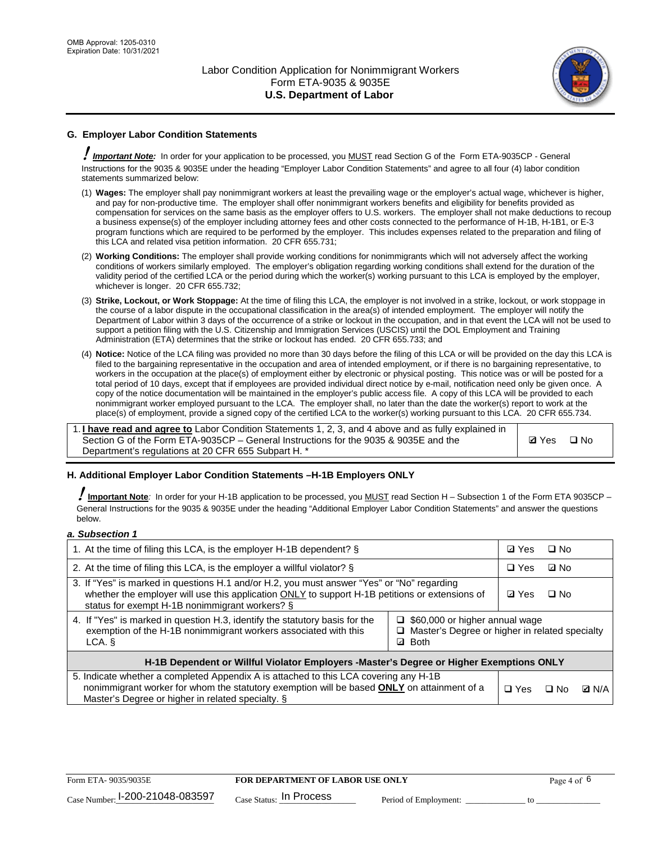

## **G. Employer Labor Condition Statements**

! *Important Note:* In order for your application to be processed, you MUST read Section G of the Form ETA-9035CP - General Instructions for the 9035 & 9035E under the heading "Employer Labor Condition Statements" and agree to all four (4) labor condition statements summarized below:

- (1) **Wages:** The employer shall pay nonimmigrant workers at least the prevailing wage or the employer's actual wage, whichever is higher, and pay for non-productive time. The employer shall offer nonimmigrant workers benefits and eligibility for benefits provided as compensation for services on the same basis as the employer offers to U.S. workers. The employer shall not make deductions to recoup a business expense(s) of the employer including attorney fees and other costs connected to the performance of H-1B, H-1B1, or E-3 program functions which are required to be performed by the employer. This includes expenses related to the preparation and filing of this LCA and related visa petition information. 20 CFR 655.731;
- (2) **Working Conditions:** The employer shall provide working conditions for nonimmigrants which will not adversely affect the working conditions of workers similarly employed. The employer's obligation regarding working conditions shall extend for the duration of the validity period of the certified LCA or the period during which the worker(s) working pursuant to this LCA is employed by the employer, whichever is longer. 20 CFR 655.732;
- (3) **Strike, Lockout, or Work Stoppage:** At the time of filing this LCA, the employer is not involved in a strike, lockout, or work stoppage in the course of a labor dispute in the occupational classification in the area(s) of intended employment. The employer will notify the Department of Labor within 3 days of the occurrence of a strike or lockout in the occupation, and in that event the LCA will not be used to support a petition filing with the U.S. Citizenship and Immigration Services (USCIS) until the DOL Employment and Training Administration (ETA) determines that the strike or lockout has ended. 20 CFR 655.733; and
- (4) **Notice:** Notice of the LCA filing was provided no more than 30 days before the filing of this LCA or will be provided on the day this LCA is filed to the bargaining representative in the occupation and area of intended employment, or if there is no bargaining representative, to workers in the occupation at the place(s) of employment either by electronic or physical posting. This notice was or will be posted for a total period of 10 days, except that if employees are provided individual direct notice by e-mail, notification need only be given once. A copy of the notice documentation will be maintained in the employer's public access file. A copy of this LCA will be provided to each nonimmigrant worker employed pursuant to the LCA. The employer shall, no later than the date the worker(s) report to work at the place(s) of employment, provide a signed copy of the certified LCA to the worker(s) working pursuant to this LCA. 20 CFR 655.734.

1. **I have read and agree to** Labor Condition Statements 1, 2, 3, and 4 above and as fully explained in Section G of the Form ETA-9035CP – General Instructions for the 9035 & 9035E and the Department's regulations at 20 CFR 655 Subpart H. \*

**Ø**Yes ロNo

### **H. Additional Employer Labor Condition Statements –H-1B Employers ONLY**

!**Important Note***:* In order for your H-1B application to be processed, you MUST read Section H – Subsection 1 of the Form ETA 9035CP – General Instructions for the 9035 & 9035E under the heading "Additional Employer Labor Condition Statements" and answer the questions below.

#### *a. Subsection 1*

| 1. At the time of filing this LCA, is the employer H-1B dependent? §                                                                                                                                                                                                      | ⊡ Yes        | $\square$ No |              |  |
|---------------------------------------------------------------------------------------------------------------------------------------------------------------------------------------------------------------------------------------------------------------------------|--------------|--------------|--------------|--|
| 2. At the time of filing this LCA, is the employer a willful violator? $\S$                                                                                                                                                                                               | $\Box$ Yes   | ⊡ No         |              |  |
| 3. If "Yes" is marked in questions H.1 and/or H.2, you must answer "Yes" or "No" regarding<br>whether the employer will use this application ONLY to support H-1B petitions or extensions of<br>status for exempt H-1B nonimmigrant workers? §                            | <b>☑</b> Yes | $\Box$ No    |              |  |
| 4. If "Yes" is marked in question H.3, identify the statutory basis for the<br>$\Box$ \$60,000 or higher annual wage<br>exemption of the H-1B nonimmigrant workers associated with this<br>□ Master's Degree or higher in related specialty<br><b>Both</b><br>LCA. §<br>☑ |              |              |              |  |
| H-1B Dependent or Willful Violator Employers -Master's Degree or Higher Exemptions ONLY                                                                                                                                                                                   |              |              |              |  |
| 5. Indicate whether a completed Appendix A is attached to this LCA covering any H-1B<br>nonimmigrant worker for whom the statutory exemption will be based <b>ONLY</b> on attainment of a<br>Master's Degree or higher in related specialty. §                            | $\Box$ Yes   | ⊟ No         | <b>Q</b> N/A |  |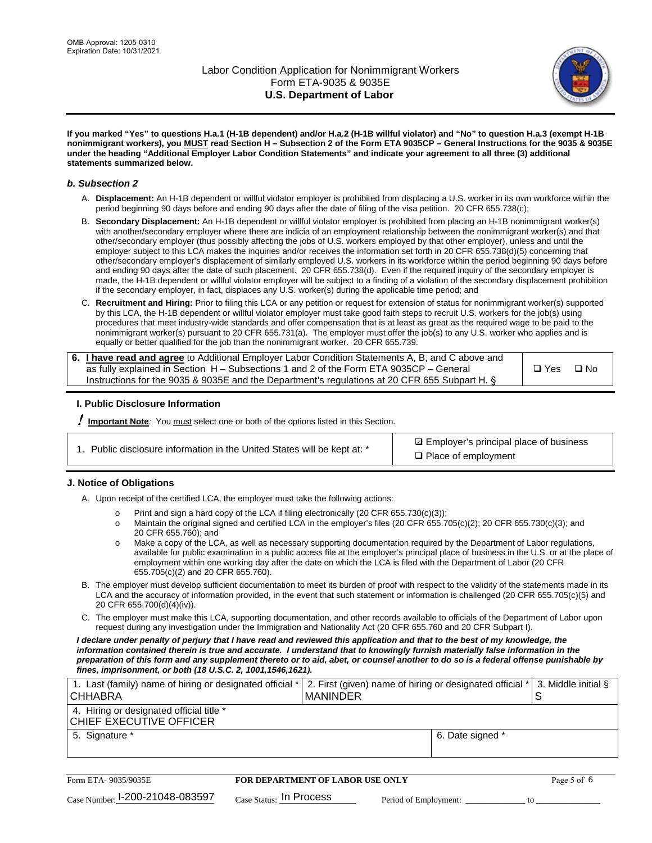

**If you marked "Yes" to questions H.a.1 (H-1B dependent) and/or H.a.2 (H-1B willful violator) and "No" to question H.a.3 (exempt H-1B nonimmigrant workers), you MUST read Section H – Subsection 2 of the Form ETA 9035CP – General Instructions for the 9035 & 9035E under the heading "Additional Employer Labor Condition Statements" and indicate your agreement to all three (3) additional statements summarized below.**

#### *b. Subsection 2*

- A. **Displacement:** An H-1B dependent or willful violator employer is prohibited from displacing a U.S. worker in its own workforce within the period beginning 90 days before and ending 90 days after the date of filing of the visa petition. 20 CFR 655.738(c);
- B. **Secondary Displacement:** An H-1B dependent or willful violator employer is prohibited from placing an H-1B nonimmigrant worker(s) with another/secondary employer where there are indicia of an employment relationship between the nonimmigrant worker(s) and that other/secondary employer (thus possibly affecting the jobs of U.S. workers employed by that other employer), unless and until the employer subject to this LCA makes the inquiries and/or receives the information set forth in 20 CFR 655.738(d)(5) concerning that other/secondary employer's displacement of similarly employed U.S. workers in its workforce within the period beginning 90 days before and ending 90 days after the date of such placement. 20 CFR 655.738(d). Even if the required inquiry of the secondary employer is made, the H-1B dependent or willful violator employer will be subject to a finding of a violation of the secondary displacement prohibition if the secondary employer, in fact, displaces any U.S. worker(s) during the applicable time period; and
- C. **Recruitment and Hiring:** Prior to filing this LCA or any petition or request for extension of status for nonimmigrant worker(s) supported by this LCA, the H-1B dependent or willful violator employer must take good faith steps to recruit U.S. workers for the job(s) using procedures that meet industry-wide standards and offer compensation that is at least as great as the required wage to be paid to the nonimmigrant worker(s) pursuant to 20 CFR 655.731(a). The employer must offer the job(s) to any U.S. worker who applies and is equally or better qualified for the job than the nonimmigrant worker. 20 CFR 655.739.

| 6. I have read and agree to Additional Employer Labor Condition Statements A, B, and C above and |       |           |
|--------------------------------------------------------------------------------------------------|-------|-----------|
| as fully explained in Section H – Subsections 1 and 2 of the Form ETA 9035CP – General           | □ Yes | $\Box$ No |
| Instructions for the 9035 & 9035E and the Department's regulations at 20 CFR 655 Subpart H. §    |       |           |

### **I. Public Disclosure Information**

! **Important Note***:* You must select one or both of the options listed in this Section.

|  | 1. Public disclosure information in the United States will be kept at: * |  |  |  |
|--|--------------------------------------------------------------------------|--|--|--|
|  |                                                                          |  |  |  |

**sqrt** Employer's principal place of business □ Place of employment

### **J. Notice of Obligations**

A. Upon receipt of the certified LCA, the employer must take the following actions:

- o Print and sign a hard copy of the LCA if filing electronically (20 CFR 655.730(c)(3));<br>
Maintain the original signed and certified LCA in the employer's files (20 CFR 655.7
- Maintain the original signed and certified LCA in the employer's files (20 CFR 655.705(c)(2); 20 CFR 655.730(c)(3); and 20 CFR 655.760); and
- o Make a copy of the LCA, as well as necessary supporting documentation required by the Department of Labor regulations, available for public examination in a public access file at the employer's principal place of business in the U.S. or at the place of employment within one working day after the date on which the LCA is filed with the Department of Labor (20 CFR 655.705(c)(2) and 20 CFR 655.760).
- B. The employer must develop sufficient documentation to meet its burden of proof with respect to the validity of the statements made in its LCA and the accuracy of information provided, in the event that such statement or information is challenged (20 CFR 655.705(c)(5) and 20 CFR 655.700(d)(4)(iv)).
- C. The employer must make this LCA, supporting documentation, and other records available to officials of the Department of Labor upon request during any investigation under the Immigration and Nationality Act (20 CFR 655.760 and 20 CFR Subpart I).

*I declare under penalty of perjury that I have read and reviewed this application and that to the best of my knowledge, the*  information contained therein is true and accurate. I understand that to knowingly furnish materially false information in the *preparation of this form and any supplement thereto or to aid, abet, or counsel another to do so is a federal offense punishable by fines, imprisonment, or both (18 U.S.C. 2, 1001,1546,1621).*

| 1. Last (family) name of hiring or designated official *<br><b>CHHABRA</b> |                         | <b>MANINDER</b>                         |                       | 2. First (given) name of hiring or designated official * | S  | 3. Middle initial § |
|----------------------------------------------------------------------------|-------------------------|-----------------------------------------|-----------------------|----------------------------------------------------------|----|---------------------|
| 4. Hiring or designated official title *<br>CHIEF EXECUTIVE OFFICER        |                         |                                         |                       |                                                          |    |                     |
| 5. Signature *                                                             |                         |                                         |                       | 6. Date signed *                                         |    |                     |
|                                                                            |                         |                                         |                       |                                                          |    |                     |
| Form ETA-9035/9035E                                                        |                         | <b>FOR DEPARTMENT OF LABOR USE ONLY</b> |                       |                                                          |    | Page 5 of 6         |
| $_{\text{Case Number:}}$ 1-200-21048-083597                                | Case Status: In Process |                                         | Period of Employment: |                                                          | tΩ |                     |

| Form ETA-9035/9035E             | <b>FOR DEPARTMENT OF LABOR USE ONLY</b> |                       |  | Page 5 of 6 |
|---------------------------------|-----------------------------------------|-----------------------|--|-------------|
| Case Number: 1-200-21048-083597 | $_{Case\; Status:}$ In Process          | Period of Employment: |  |             |